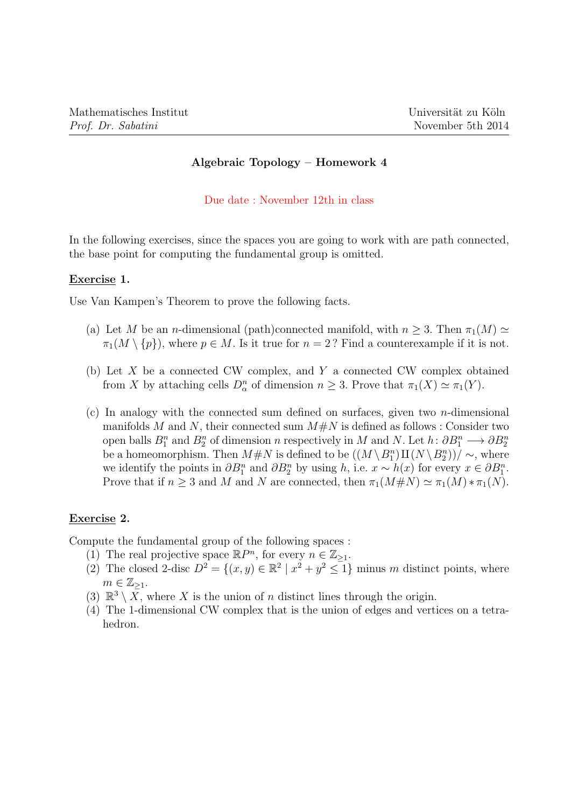# Algebraic Topology – Homework 4

### Due date : November 12th in class

In the following exercises, since the spaces you are going to work with are path connected, the base point for computing the fundamental group is omitted.

## Exercise 1.

Use Van Kampen's Theorem to prove the following facts.

- (a) Let M be an n-dimensional (path)connected manifold, with  $n \geq 3$ . Then  $\pi_1(M) \simeq$  $\pi_1(M \setminus \{p\})$ , where  $p \in M$ . Is it true for  $n = 2$ ? Find a counterexample if it is not.
- (b) Let X be a connected CW complex, and Y a connected CW complex obtained from X by attaching cells  $D_{\alpha}^{n}$  of dimension  $n \geq 3$ . Prove that  $\pi_1(X) \simeq \pi_1(Y)$ .
- (c) In analogy with the connected sum defined on surfaces, given two  $n$ -dimensional manifolds M and N, their connected sum  $M \# N$  is defined as follows : Consider two open balls  $B_1^n$  and  $B_2^n$  of dimension n respectively in M and N. Let  $h: \partial B_1^n \longrightarrow \partial B_2^n$ be a homeomorphism. Then  $M \# N$  is defined to be  $((M \setminus B_1^n) \amalg (N \setminus B_2^n))/ \sim$ , where we identify the points in  $\partial B_1^n$  and  $\partial B_2^n$  by using h, i.e.  $x \sim h(x)$  for every  $x \in \partial B_1^n$ . Prove that if  $n \geq 3$  and M and N are connected, then  $\pi_1(M \# N) \simeq \pi_1(M) * \pi_1(N)$ .

# Exercise 2.

Compute the fundamental group of the following spaces :

- (1) The real projective space  $\mathbb{R}P^n$ , for every  $n \in \mathbb{Z}_{\geq 1}$ .
- (2) The closed 2-disc  $D^2 = \{(x, y) \in \mathbb{R}^2 \mid x^2 + y^2 \leq 1\}$  minus m distinct points, where  $m \in \mathbb{Z}_{\geq 1}$ .
- (3)  $\mathbb{R}^3 \setminus \overline{X}$ , where X is the union of n distinct lines through the origin.
- (4) The 1-dimensional CW complex that is the union of edges and vertices on a tetrahedron.